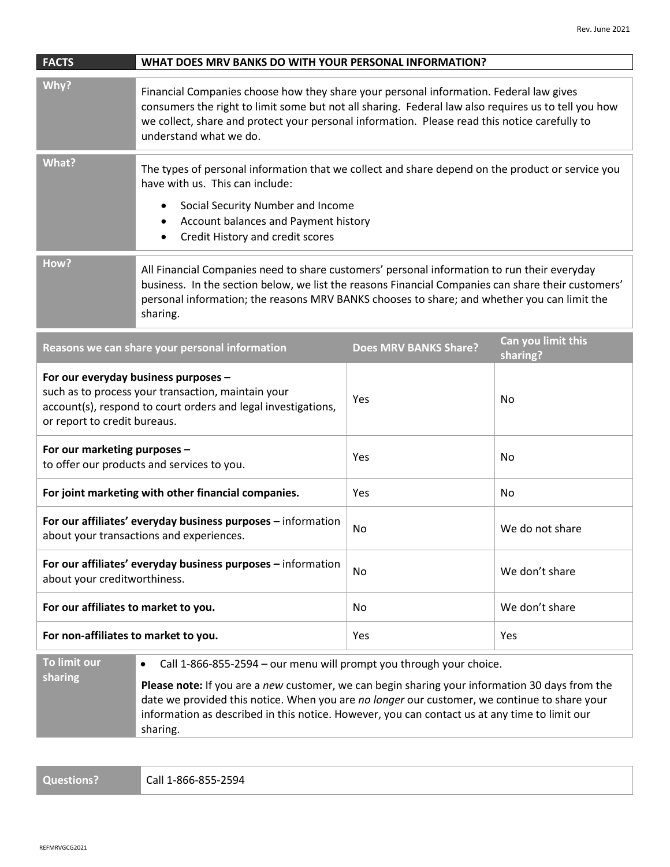| <b>FACTS</b>                                                                                                                                                                                | WHAT DOES MRV BANKS DO WITH YOUR PERSONAL INFORMATION?                                                                                                                                                                                                                                                                                                                                          |                              |                                |
|---------------------------------------------------------------------------------------------------------------------------------------------------------------------------------------------|-------------------------------------------------------------------------------------------------------------------------------------------------------------------------------------------------------------------------------------------------------------------------------------------------------------------------------------------------------------------------------------------------|------------------------------|--------------------------------|
| Why?                                                                                                                                                                                        | Financial Companies choose how they share your personal information. Federal law gives<br>consumers the right to limit some but not all sharing. Federal law also requires us to tell you how<br>we collect, share and protect your personal information. Please read this notice carefully to<br>understand what we do.                                                                        |                              |                                |
| What?                                                                                                                                                                                       | The types of personal information that we collect and share depend on the product or service you<br>have with us. This can include:<br>Social Security Number and Income<br>٠<br>Account balances and Payment history<br>$\bullet$<br>Credit History and credit scores<br>$\bullet$                                                                                                             |                              |                                |
| How?                                                                                                                                                                                        | All Financial Companies need to share customers' personal information to run their everyday<br>business. In the section below, we list the reasons Financial Companies can share their customers'<br>personal information; the reasons MRV BANKS chooses to share; and whether you can limit the<br>sharing.                                                                                    |                              |                                |
| Reasons we can share your personal information                                                                                                                                              |                                                                                                                                                                                                                                                                                                                                                                                                 | <b>Does MRV BANKS Share?</b> | Can you limit this<br>sharing? |
| For our everyday business purposes -<br>such as to process your transaction, maintain your<br>account(s), respond to court orders and legal investigations,<br>or report to credit bureaus. |                                                                                                                                                                                                                                                                                                                                                                                                 | Yes                          | No                             |
| For our marketing purposes -<br>to offer our products and services to you.                                                                                                                  |                                                                                                                                                                                                                                                                                                                                                                                                 | Yes                          | No                             |
| For joint marketing with other financial companies.                                                                                                                                         |                                                                                                                                                                                                                                                                                                                                                                                                 | Yes                          | No                             |
| For our affiliates' everyday business purposes - information<br>about your transactions and experiences.                                                                                    |                                                                                                                                                                                                                                                                                                                                                                                                 | No                           | We do not share                |
| For our affiliates' everyday business purposes - information<br>about your creditworthiness.                                                                                                |                                                                                                                                                                                                                                                                                                                                                                                                 | No                           | We don't share                 |
| For our affiliates to market to you.                                                                                                                                                        |                                                                                                                                                                                                                                                                                                                                                                                                 | No                           | We don't share                 |
| For non-affiliates to market to you.                                                                                                                                                        |                                                                                                                                                                                                                                                                                                                                                                                                 | Yes                          | Yes                            |
| To limit our<br>sharing                                                                                                                                                                     | Call 1-866-855-2594 - our menu will prompt you through your choice.<br>$\bullet$<br>Please note: If you are a new customer, we can begin sharing your information 30 days from the<br>date we provided this notice. When you are no longer our customer, we continue to share your<br>information as described in this notice. However, you can contact us at any time to limit our<br>sharing. |                              |                                |

**Questions?** Call 1-866-855-2594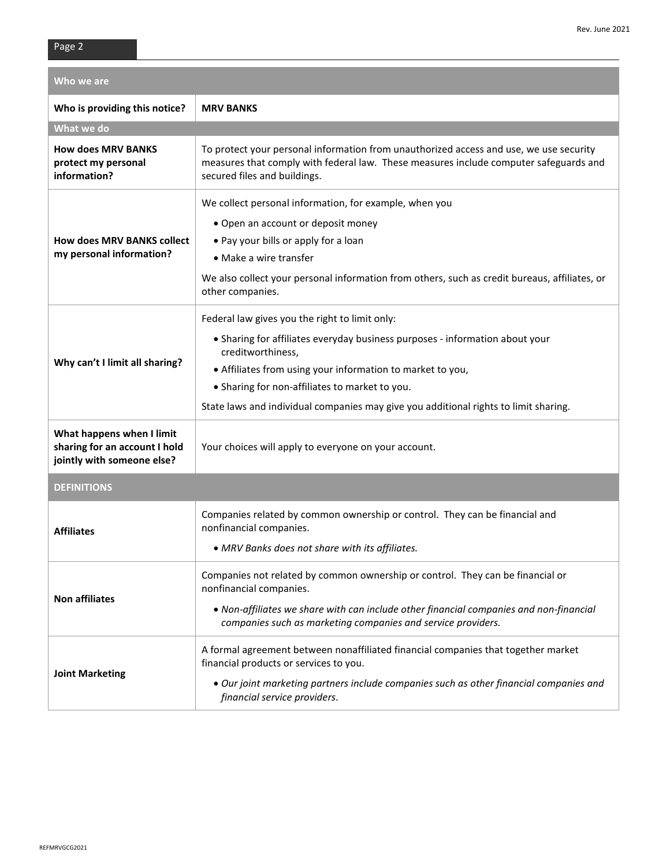| Who we are                                                                               |                                                                                                                                                                                                                 |  |  |
|------------------------------------------------------------------------------------------|-----------------------------------------------------------------------------------------------------------------------------------------------------------------------------------------------------------------|--|--|
| Who is providing this notice?                                                            | <b>MRV BANKS</b>                                                                                                                                                                                                |  |  |
| What we do                                                                               |                                                                                                                                                                                                                 |  |  |
| <b>How does MRV BANKS</b><br>protect my personal<br>information?                         | To protect your personal information from unauthorized access and use, we use security<br>measures that comply with federal law. These measures include computer safeguards and<br>secured files and buildings. |  |  |
|                                                                                          | We collect personal information, for example, when you                                                                                                                                                          |  |  |
|                                                                                          | • Open an account or deposit money                                                                                                                                                                              |  |  |
| <b>How does MRV BANKS collect</b>                                                        | • Pay your bills or apply for a loan                                                                                                                                                                            |  |  |
| my personal information?                                                                 | • Make a wire transfer                                                                                                                                                                                          |  |  |
|                                                                                          | We also collect your personal information from others, such as credit bureaus, affiliates, or<br>other companies.                                                                                               |  |  |
|                                                                                          | Federal law gives you the right to limit only:                                                                                                                                                                  |  |  |
|                                                                                          | • Sharing for affiliates everyday business purposes - information about your<br>creditworthiness,                                                                                                               |  |  |
| Why can't I limit all sharing?                                                           | • Affiliates from using your information to market to you,                                                                                                                                                      |  |  |
|                                                                                          | • Sharing for non-affiliates to market to you.                                                                                                                                                                  |  |  |
|                                                                                          | State laws and individual companies may give you additional rights to limit sharing.                                                                                                                            |  |  |
| What happens when I limit<br>sharing for an account I hold<br>jointly with someone else? | Your choices will apply to everyone on your account.                                                                                                                                                            |  |  |
| <b>DEFINITIONS</b>                                                                       |                                                                                                                                                                                                                 |  |  |
| <b>Affiliates</b>                                                                        | Companies related by common ownership or control. They can be financial and<br>nonfinancial companies.                                                                                                          |  |  |
|                                                                                          | • MRV Banks does not share with its affiliates.                                                                                                                                                                 |  |  |
| <b>Non affiliates</b>                                                                    | Companies not related by common ownership or control. They can be financial or<br>nonfinancial companies.                                                                                                       |  |  |
|                                                                                          | . Non-affiliates we share with can include other financial companies and non-financial<br>companies such as marketing companies and service providers.                                                          |  |  |
|                                                                                          | A formal agreement between nonaffiliated financial companies that together market<br>financial products or services to you.                                                                                     |  |  |
| <b>Joint Marketing</b>                                                                   | • Our joint marketing partners include companies such as other financial companies and<br>financial service providers.                                                                                          |  |  |